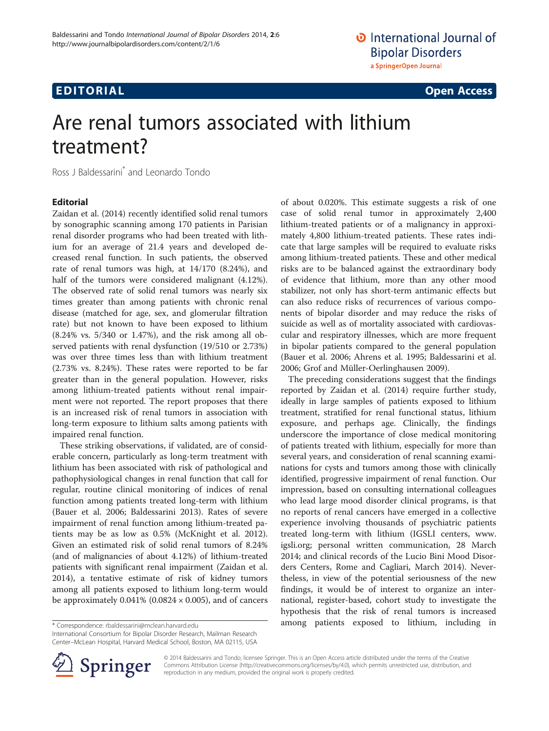# **EDITORIAL** CONTROL CONTROL CONTROL CONTROL CONTROL CONTROL CONTROL CONTROL CONTROL CONTROL CONTROL CONTROL CONTROL CONTROL CONTROL CONTROL CONTROL CONTROL CONTROL CONTROL CONTROL CONTROL CONTROL CONTROL CONTROL CONTROL CO

# Are renal tumors associated with lithium treatment?

Ross J Baldessarini\* and Leonardo Tondo

### Editorial

Zaidan et al. [\(2014](#page-1-0)) recently identified solid renal tumors by sonographic scanning among 170 patients in Parisian renal disorder programs who had been treated with lithium for an average of 21.4 years and developed decreased renal function. In such patients, the observed rate of renal tumors was high, at 14/170 (8.24%), and half of the tumors were considered malignant (4.12%). The observed rate of solid renal tumors was nearly six times greater than among patients with chronic renal disease (matched for age, sex, and glomerular filtration rate) but not known to have been exposed to lithium (8.24% vs. 5/340 or 1.47%), and the risk among all observed patients with renal dysfunction (19/510 or 2.73%) was over three times less than with lithium treatment (2.73% vs. 8.24%). These rates were reported to be far greater than in the general population. However, risks among lithium-treated patients without renal impairment were not reported. The report proposes that there is an increased risk of renal tumors in association with long-term exposure to lithium salts among patients with impaired renal function.

These striking observations, if validated, are of considerable concern, particularly as long-term treatment with lithium has been associated with risk of pathological and pathophysiological changes in renal function that call for regular, routine clinical monitoring of indices of renal function among patients treated long-term with lithium (Bauer et al. [2006;](#page-1-0) Baldessarini [2013](#page-1-0)). Rates of severe impairment of renal function among lithium-treated patients may be as low as 0.5% (McKnight et al. [2012](#page-1-0)). Given an estimated risk of solid renal tumors of 8.24% (and of malignancies of about 4.12%) of lithium-treated patients with significant renal impairment (Zaidan et al. [2014](#page-1-0)), a tentative estimate of risk of kidney tumors among all patients exposed to lithium long-term would be approximately  $0.041\%$  (0.0824  $\times$  0.005), and of cancers

of about 0.020%. This estimate suggests a risk of one case of solid renal tumor in approximately 2,400 lithium-treated patients or of a malignancy in approximately 4,800 lithium-treated patients. These rates indicate that large samples will be required to evaluate risks among lithium-treated patients. These and other medical risks are to be balanced against the extraordinary body of evidence that lithium, more than any other mood stabilizer, not only has short-term antimanic effects but can also reduce risks of recurrences of various components of bipolar disorder and may reduce the risks of suicide as well as of mortality associated with cardiovascular and respiratory illnesses, which are more frequent in bipolar patients compared to the general population (Bauer et al. [2006](#page-1-0); Ahrens et al. [1995;](#page-1-0) Baldessarini et al. [2006](#page-1-0); Grof and Müller-Oerlinghausen [2009](#page-1-0)).

The preceding considerations suggest that the findings reported by Zaidan et al. [\(2014\)](#page-1-0) require further study, ideally in large samples of patients exposed to lithium treatment, stratified for renal functional status, lithium exposure, and perhaps age. Clinically, the findings underscore the importance of close medical monitoring of patients treated with lithium, especially for more than several years, and consideration of renal scanning examinations for cysts and tumors among those with clinically identified, progressive impairment of renal function. Our impression, based on consulting international colleagues who lead large mood disorder clinical programs, is that no reports of renal cancers have emerged in a collective experience involving thousands of psychiatric patients treated long-term with lithium (IGSLI centers, [www.](http://www.igsli.org/) [igsli.org;](http://www.igsli.org/) personal written communication, 28 March 2014; and clinical records of the Lucio Bini Mood Disorders Centers, Rome and Cagliari, March 2014). Nevertheless, in view of the potential seriousness of the new findings, it would be of interest to organize an international, register-based, cohort study to investigate the hypothesis that the risk of renal tumors is increased among patients exposed to lithium, including in \* Correspondence: [rbaldessarini@mclean.harvard.edu](mailto:rbaldessarini@mclean.harvard.edu)

International Consortium for Bipolar Disorder Research, Mailman Research Center–McLean Hospital, Harvard Medical School, Boston, MA 02115, USA



© 2014 Baldessarini and Tondo; licensee Springer. This is an Open Access article distributed under the terms of the Creative Commons Attribution License (<http://creativecommons.org/licenses/by/4.0>), which permits unrestricted use, distribution, and reproduction in any medium, provided the original work is properly credited.